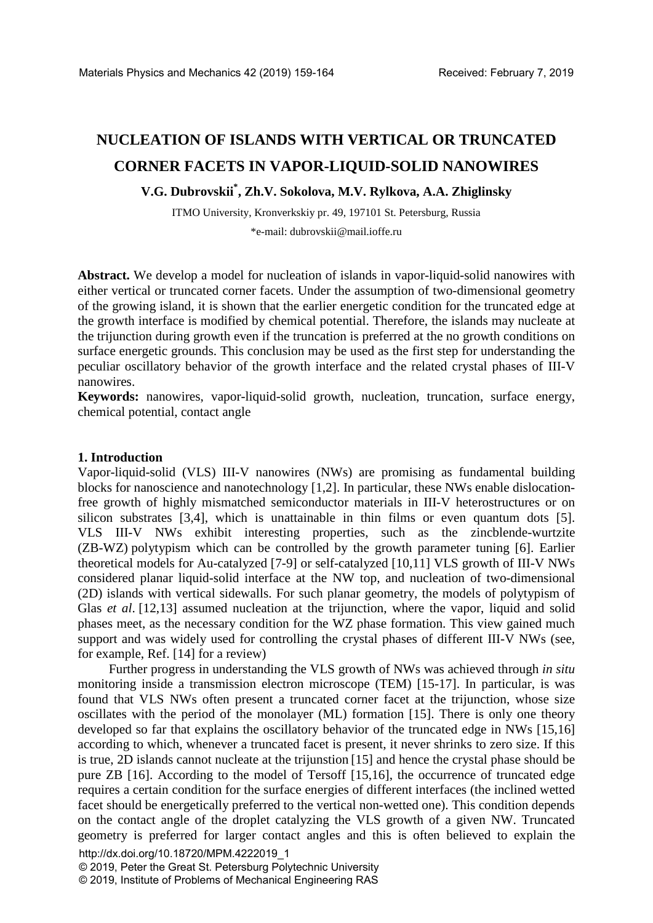# **NUCLEATION OF ISLANDS WITH VERTICAL OR TRUNCATED CORNER FACETS IN VAPOR-LIQUID-SOLID NANOWIRES**

## **V.G. Dubrovskii\* , Zh.V. Sokolova, M.V. Rylkova, A.A. Zhiglinsky**

ITMO University, Kronverkskiy pr. 49, 197101 St. Petersburg, Russia \*e-mail: dubrovskii@mail.ioffe.ru

Abstract. We develop a model for nucleation of islands in vapor-liquid-solid nanowires with either vertical or truncated corner facets. Under the assumption of two-dimensional geometry of the growing island, it is shown that the earlier energetic condition for the truncated edge at the growth interface is modified by chemical potential. Therefore, the islands may nucleate at the trijunction during growth even if the truncation is preferred at the no growth conditions on surface energetic grounds. This conclusion may be used as the first step for understanding the peculiar oscillatory behavior of the growth interface and the related crystal phases of III-V nanowires.

**Keywords:** nanowires, vapor-liquid-solid growth, nucleation, truncation, surface energy, chemical potential, contact angle

#### **1. Introduction**

Vapor-liquid-solid (VLS) III-V nanowires (NWs) are promising as fundamental building blocks for nanoscience and nanotechnology [1,2]. In particular, these NWs enable dislocationfree growth of highly mismatched semiconductor materials in III-V heterostructures or on silicon substrates [3,4], which is unattainable in thin films or even quantum dots [5]. VLS III-V NWs exhibit interesting properties, such as the zincblende-wurtzite (ZB-WZ) polytypism which can be controlled by the growth parameter tuning [6]. Earlier theoretical models for Au-catalyzed [7-9] or self-catalyzed [10,11] VLS growth of III-V NWs considered planar liquid-solid interface at the NW top, and nucleation of two-dimensional (2D) islands with vertical sidewalls. For such planar geometry, the models of polytypism of Glas *et al.* [12,13] assumed nucleation at the trijunction, where the vapor, liquid and solid phases meet, as the necessary condition for the WZ phase formation. This view gained much support and was widely used for controlling the crystal phases of different III-V NWs (see, for example, Ref. [14] for a review)

Further progress in understanding the VLS growth of NWs was achieved through *in situ* monitoring inside a transmission electron microscope (TEM) [15-17]. In particular, is was found that VLS NWs often present a truncated corner facet at the trijunction, whose size oscillates with the period of the monolayer (ML) formation [15]. There is only one theory developed so far that explains the oscillatory behavior of the truncated edge in NWs [15,16] according to which, whenever a truncated facet is present, it never shrinks to zero size. If this is true, 2D islands cannot nucleate at the trijunstion [15] and hence the crystal phase should be pure ZB [16]. According to the model of Tersoff [15,16], the occurrence of truncated edge requires a certain condition for the surface energies of different interfaces (the inclined wetted facet should be energetically preferred to the vertical non-wetted one). This condition depends on the contact angle of the droplet catalyzing the VLS growth of a given NW. Truncated geometry is preferred for larger contact angles and this is often believed to explain the

© 2019, Peter the Great St. Petersburg Polytechnic University

<sup>© 2019,</sup> Institute of Problems of Mechanical Engineering RAS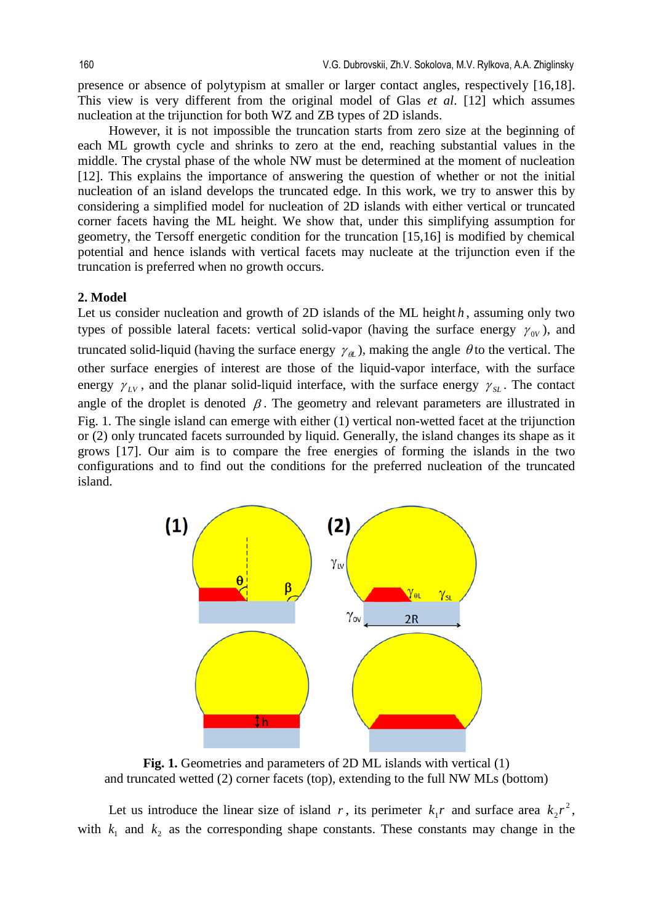presence or absence of polytypism at smaller or larger contact angles, respectively [16,18]. This view is very different from the original model of Glas *et al*. [12] which assumes nucleation at the trijunction for both WZ and ZB types of 2D islands.

However, it is not impossible the truncation starts from zero size at the beginning of each ML growth cycle and shrinks to zero at the end, reaching substantial values in the middle. The crystal phase of the whole NW must be determined at the moment of nucleation [12]. This explains the importance of answering the question of whether or not the initial nucleation of an island develops the truncated edge. In this work, we try to answer this by considering a simplified model for nucleation of 2D islands with either vertical or truncated corner facets having the ML height. We show that, under this simplifying assumption for geometry, the Tersoff energetic condition for the truncation [15,16] is modified by chemical potential and hence islands with vertical facets may nucleate at the trijunction even if the truncation is preferred when no growth occurs.

#### **2. Model**

Let us consider nucleation and growth of 2D islands of the ML height *h*, assuming only two types of possible lateral facets: vertical solid-vapor (having the surface energy  $\gamma_{\alpha}$ ), and truncated solid-liquid (having the surface energy  $\gamma_{\alpha}$ ), making the angle  $\theta$  to the vertical. The other surface energies of interest are those of the liquid-vapor interface, with the surface energy  $\gamma_{LV}$ , and the planar solid-liquid interface, with the surface energy  $\gamma_{SL}$ . The contact angle of the droplet is denoted  $\beta$ . The geometry and relevant parameters are illustrated in Fig. 1. The single island can emerge with either (1) vertical non-wetted facet at the trijunction or (2) only truncated facets surrounded by liquid. Generally, the island changes its shape as it grows [17]. Our aim is to compare the free energies of forming the islands in the two configurations and to find out the conditions for the preferred nucleation of the truncated island.



**Fig. 1.** Geometries and parameters of 2D ML islands with vertical (1) and truncated wetted (2) corner facets (top), extending to the full NW MLs (bottom)

Let us introduce the linear size of island *r*, its perimeter  $k_1 r$  and surface area  $k_2 r^2$ , with  $k_1$  and  $k_2$  as the corresponding shape constants. These constants may change in the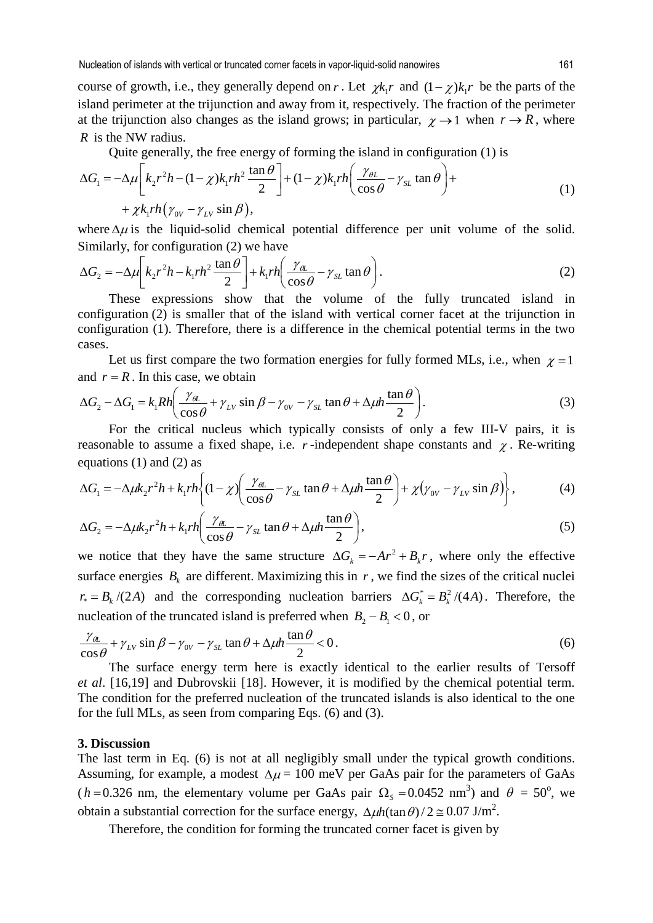course of growth, i.e., they generally depend on *r*. Let  $\chi k_1 r$  and  $(1 - \chi)k_1 r$  be the parts of the island perimeter at the trijunction and away from it, respectively. The fraction of the perimeter at the trijunction also changes as the island grows; in particular,  $\chi \rightarrow 1$  when  $r \rightarrow R$ , where *R* is the NW radius.

Quite generally, the free energy of forming the island in configuration (1) is

$$
\Delta G_1 = -\Delta \mu \left[ k_2 r^2 h - (1 - \chi) k_1 r h^2 \frac{\tan \theta}{2} \right] + (1 - \chi) k_1 r h \left( \frac{\gamma_{\theta L}}{\cos \theta} - \gamma_{\text{SL}} \tan \theta \right) +
$$
  
+  $\chi k_1 r h \left( \gamma_{0V} - \gamma_{LV} \sin \beta \right),$  (1)

where  $\Delta \mu$  is the liquid-solid chemical potential difference per unit volume of the solid. Similarly, for configuration (2) we have

$$
\Delta G_2 = -\Delta \mu \left[ k_2 r^2 h - k_1 r h^2 \frac{\tan \theta}{2} \right] + k_1 r h \left( \frac{\gamma_{\theta L}}{\cos \theta} - \gamma_{SL} \tan \theta \right). \tag{2}
$$

These expressions show that the volume of the fully truncated island in configuration (2) is smaller that of the island with vertical corner facet at the trijunction in configuration (1). Therefore, there is a difference in the chemical potential terms in the two cases.

Let us first compare the two formation energies for fully formed MLs, i.e., when  $\chi = 1$ and  $r = R$ . In this case, we obtain

$$
\Delta G_2 - \Delta G_1 = k_1 R h \left( \frac{\gamma_{\theta L}}{\cos \theta} + \gamma_{LV} \sin \beta - \gamma_{0V} - \gamma_{SL} \tan \theta + \Delta \mu h \frac{\tan \theta}{2} \right).
$$
 (3)

For the critical nucleus which typically consists of only a few III-V pairs, it is reasonable to assume a fixed shape, i.e.  $r$ -independent shape constants and  $\chi$ . Re-writing equations (1) and (2) as

$$
\Delta G_1 = -\Delta \mu k_2 r^2 h + k_1 r h \left\{ (1 - \chi) \left( \frac{\gamma_{\theta L}}{\cos \theta} - \gamma_{SL} \tan \theta + \Delta \mu h \frac{\tan \theta}{2} \right) + \chi (\gamma_{0V} - \gamma_{LV} \sin \beta) \right\},\tag{4}
$$

$$
\Delta G_2 = -\Delta \mu k_2 r^2 h + k_1 r h \left( \frac{\gamma_{\theta L}}{\cos \theta} - \gamma_{SL} \tan \theta + \Delta \mu h \frac{\tan \theta}{2} \right),\tag{5}
$$

we notice that they have the same structure  $\Delta G_k = -Ar^2 + B_k r$ , where only the effective surface energies  $B_k$  are different. Maximizing this in  $r$ , we find the sizes of the critical nuclei  $r_* = B_k/(2A)$  and the corresponding nucleation barriers  $\Delta G_k^* = B_k^2/(4A)$ . Therefore, the nucleation of the truncated island is preferred when  $B_2 - B_1 < 0$ , or

$$
\frac{\gamma_{\theta L}}{\cos \theta} + \gamma_{LV} \sin \beta - \gamma_{0V} - \gamma_{SL} \tan \theta + \Delta \mu h \frac{\tan \theta}{2} < 0.
$$
 (6)

The surface energy term here is exactly identical to the earlier results of Tersoff *et al*. [16,19] and Dubrovskii [18]. However, it is modified by the chemical potential term. The condition for the preferred nucleation of the truncated islands is also identical to the one for the full MLs, as seen from comparing Eqs. (6) and (3).

#### **3. Discussion**

The last term in Eq. (6) is not at all negligibly small under the typical growth conditions. Assuming, for example, a modest  $\Delta \mu = 100$  meV per GaAs pair for the parameters of GaAs  $(h=0.326$  nm, the elementary volume per GaAs pair  $\Omega_s = 0.0452$  nm<sup>3</sup>) and  $\theta = 50^\circ$ , we obtain a substantial correction for the surface energy,  $\Delta \mu h(\tan \theta)/2 \approx 0.07 \text{ J/m}^2$ .

Therefore, the condition for forming the truncated corner facet is given by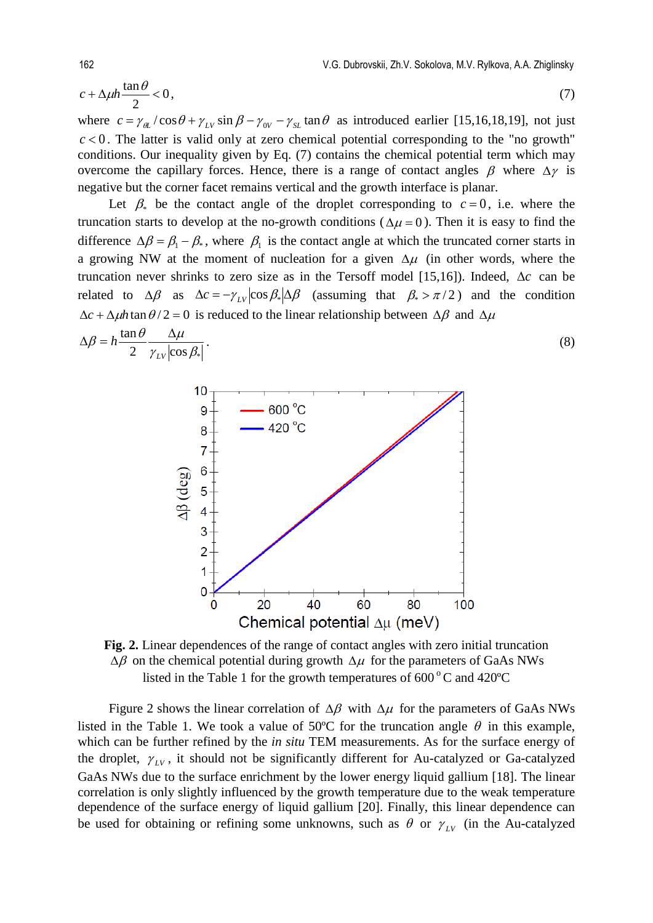$$
c + \Delta \mu h \frac{\tan \theta}{2} < 0,\tag{7}
$$

where  $c = \gamma_{\theta L}/\cos\theta + \gamma_{LV}\sin\beta - \gamma_{0V} - \gamma_{SL}\tan\theta$  as introduced earlier [15,16,18,19], not just  $c < 0$ . The latter is valid only at zero chemical potential corresponding to the "no growth" conditions. Our inequality given by Eq. (7) contains the chemical potential term which may overcome the capillary forces. Hence, there is a range of contact angles  $\beta$  where  $\Delta \gamma$  is negative but the corner facet remains vertical and the growth interface is planar.

Let  $\beta_*$  be the contact angle of the droplet corresponding to  $c = 0$ , i.e. where the truncation starts to develop at the no-growth conditions ( $\Delta \mu = 0$ ). Then it is easy to find the difference  $\Delta \beta = \beta_1 - \beta_*$ , where  $\beta_1$  is the contact angle at which the truncated corner starts in a growing NW at the moment of nucleation for a given  $\Delta \mu$  (in other words, where the truncation never shrinks to zero size as in the Tersoff model [15,16]). Indeed, ∆*c* can be related to  $\Delta \beta$  as  $\Delta c = -\gamma_{LV} |\cos \beta_{\ast}| \Delta \beta$  (assuming that  $\beta_{\ast} > \pi/2$ ) and the condition  $\Delta c + \Delta \mu h \tan \theta / 2 = 0$  is reduced to the linear relationship between  $\Delta \beta$  and  $\Delta \mu$ 

$$
\Delta \beta = h \frac{\tan \theta}{2} \frac{\Delta \mu}{\gamma_{LV} |\cos \beta_*|}.
$$
\n(8)\n  
\n
$$
\begin{array}{ccc}\n & 10 \\
& 9 \\
& 420^{\circ}\text{C} \\
& 7 \\
& 420^{\circ}\text{C}\n\end{array}
$$
\n(8)

3

 $\overline{0}$  $\Omega$ 

20



Chemical potential  $\Delta \mu$  (meV)

60

80

100

40

Figure 2 shows the linear correlation of  $\Delta \beta$  with  $\Delta \mu$  for the parameters of GaAs NWs listed in the Table 1. We took a value of 50°C for the truncation angle  $\theta$  in this example, which can be further refined by the *in situ* TEM measurements. As for the surface energy of the droplet,  $\gamma_{LV}$ , it should not be significantly different for Au-catalyzed or Ga-catalyzed GaAs NWs due to the surface enrichment by the lower energy liquid gallium [18]. The linear correlation is only slightly influenced by the growth temperature due to the weak temperature dependence of the surface energy of liquid gallium [20]. Finally, this linear dependence can be used for obtaining or refining some unknowns, such as  $\theta$  or  $\gamma_{LV}$  (in the Au-catalyzed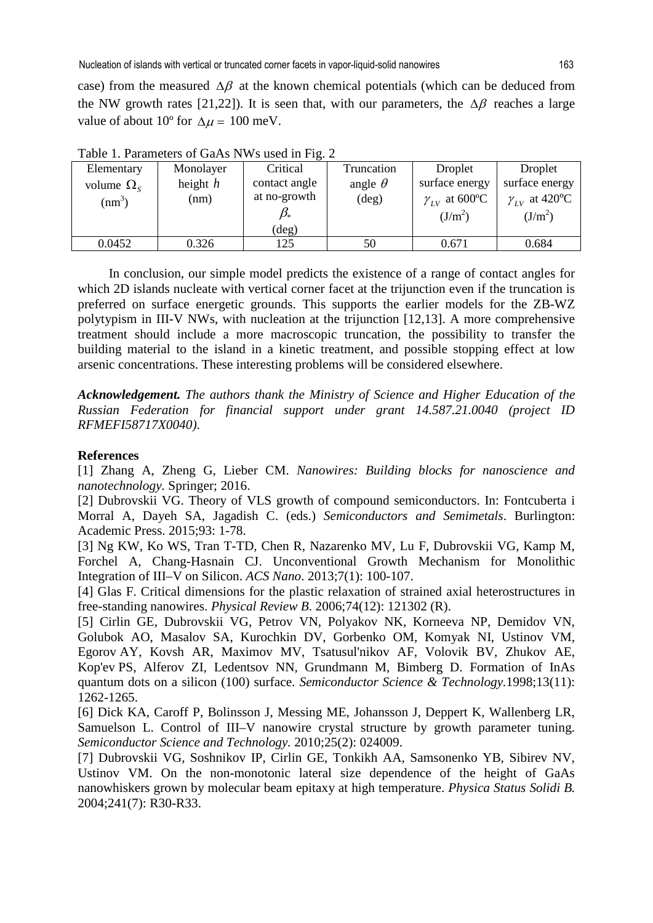Nucleation of islands with vertical or truncated corner facets in vapor-liquid-solid nanowires 163

case) from the measured  $\Delta\beta$  at the known chemical potentials (which can be deduced from the NW growth rates [21,22]). It is seen that, with our parameters, the  $\Delta\beta$  reaches a large value of about 10<sup>o</sup> for  $\Delta \mu = 100$  meV.

| 1 WO 10 11 1 WINDOW OF OWING IT IT DOUGH IN IT IS A |            |               |                |                        |                                     |
|-----------------------------------------------------|------------|---------------|----------------|------------------------|-------------------------------------|
| Elementary                                          | Monolayer  | Critical      | Truncation     | Droplet                | Droplet                             |
| volume $\Omega_s$                                   | height $h$ | contact angle | angle $\theta$ | surface energy         | surface energy                      |
| $\text{nm}^3$                                       | (nm)       | at no-growth  | $(\text{deg})$ | $\gamma_{LV}$ at 600°C | $\gamma_{LV}$ at 420 <sup>o</sup> C |
|                                                     |            |               |                | $(J/m^2)$              | $(J/m^2)$                           |
|                                                     |            | (deg)         |                |                        |                                     |
| 0.0452                                              | 0.326      | 125           | 50             | 0.671                  | 0.684                               |

Table 1. Parameters of GaAs NWs used in Fig. 2.

In conclusion, our simple model predicts the existence of a range of contact angles for which 2D islands nucleate with vertical corner facet at the trijunction even if the truncation is preferred on surface energetic grounds. This supports the earlier models for the ZB-WZ polytypism in III-V NWs, with nucleation at the trijunction [12,13]. A more comprehensive treatment should include a more macroscopic truncation, the possibility to transfer the building material to the island in a kinetic treatment, and possible stopping effect at low arsenic concentrations. These interesting problems will be considered elsewhere.

*Acknowledgement. The authors thank the Ministry of Science and Higher Education of the Russian Federation for financial support under grant 14.587.21.0040 (project ID RFMEFI58717X0040)*.

### **References**

[1] Zhang A, Zheng G, Lieber CM. *Nanowires: Building blocks for nanoscience and nanotechnology.* Springer; 2016.

[2] Dubrovskii VG. Theory of VLS growth of compound semiconductors. In: Fontcuberta i Morral A, Dayeh SA, Jagadish C. (eds.) *Semiconductors and Semimetals*. Burlington: Academic Press. 2015;93: 1-78.

[3] Ng KW, Ko WS, Tran T-TD, Chen R, Nazarenko MV, Lu F, Dubrovskii VG, Kamp M, Forchel A, Chang-Hasnain CJ. Unconventional Growth Mechanism for Monolithic Integration of III–V on Silicon. *ACS Nano*. 2013;7(1): 100-107.

[4] Glas F. Critical dimensions for the plastic relaxation of strained axial heterostructures in free-standing nanowires. *Physical Review B*. 2006;74(12): 121302 (R).

[5] Cirlin GE, Dubrovskii VG, Petrov VN, Polyakov NK, Korneeva NP, Demidov VN, Golubok AO, Masalov SA, Kurochkin DV, Gorbenko OM, Komyak NI, Ustinov VM, Egorov AY, Kovsh AR, Maximov MV, Tsatusul'nikov AF, Volovik BV, Zhukov AE, Kop'ev PS, Alferov ZI, Ledentsov NN, Grundmann M, Bimberg D. Formation of InAs quantum dots on a silicon (100) surface. *Semiconductor Science & Technology.*1998;13(11): 1262-1265.

[6] Dick KA, Caroff P, Bolinsson J, Messing ME, Johansson J, Deppert K, Wallenberg LR, Samuelson L. Control of III–V nanowire crystal structure by growth parameter tuning. *Semiconductor Science and Technology.* 2010;25(2): 024009.

[7] Dubrovskii VG, Soshnikov IP, Cirlin GE, Tonkikh AA, Samsonenko YB, Sibirev NV, Ustinov VM. On the non-monotonic lateral size dependence of the height of GaAs nanowhiskers grown by molecular beam epitaxy at high temperature. *Physica Status Solidi B.* 2004;241(7): R30-R33.